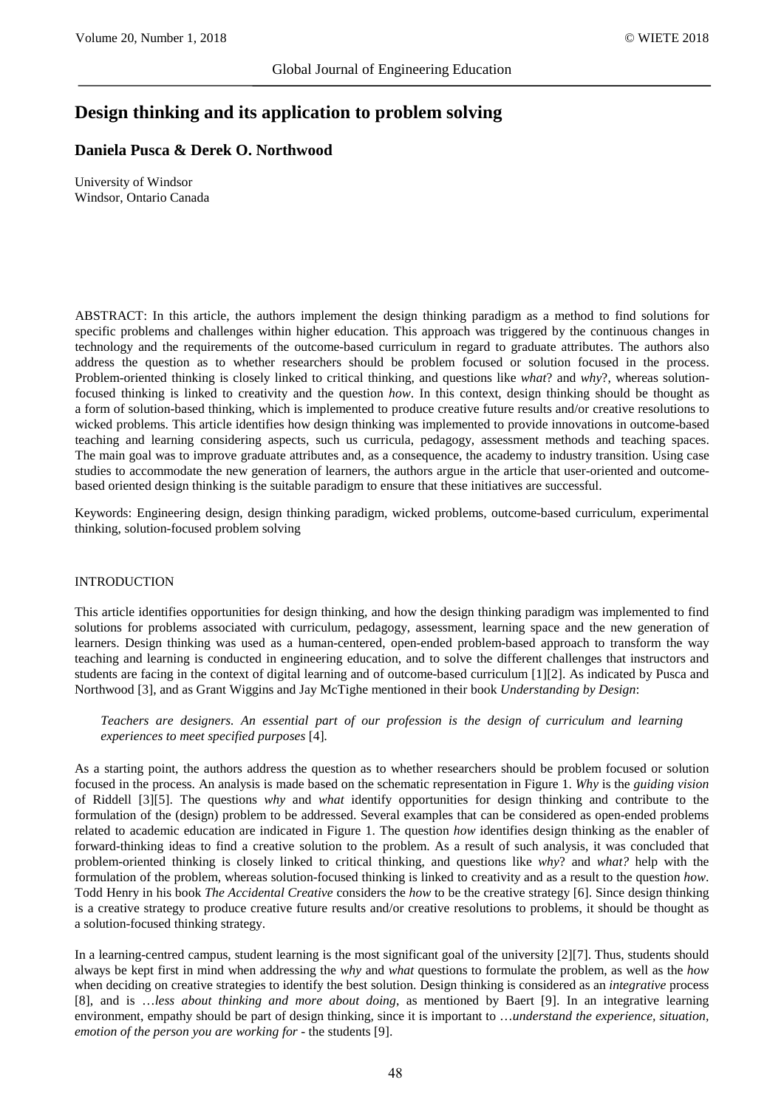# **Design thinking and its application to problem solving**

# **Daniela Pusca & Derek O. Northwood**

University of Windsor Windsor, Ontario Canada

ABSTRACT: In this article, the authors implement the design thinking paradigm as a method to find solutions for specific problems and challenges within higher education. This approach was triggered by the continuous changes in technology and the requirements of the outcome-based curriculum in regard to graduate attributes. The authors also address the question as to whether researchers should be problem focused or solution focused in the process. Problem-oriented thinking is closely linked to critical thinking, and questions like *what*? and *why*?, whereas solutionfocused thinking is linked to creativity and the question *how*. In this context, design thinking should be thought as a form of solution-based thinking, which is implemented to produce creative future results and/or creative resolutions to wicked problems. This article identifies how design thinking was implemented to provide innovations in outcome-based teaching and learning considering aspects, such us curricula, pedagogy, assessment methods and teaching spaces. The main goal was to improve graduate attributes and, as a consequence, the academy to industry transition. Using case studies to accommodate the new generation of learners, the authors argue in the article that user-oriented and outcomebased oriented design thinking is the suitable paradigm to ensure that these initiatives are successful.

Keywords: Engineering design, design thinking paradigm, wicked problems*,* outcome-based curriculum, experimental thinking, solution-focused problem solving

#### INTRODUCTION

This article identifies opportunities for design thinking, and how the design thinking paradigm was implemented to find solutions for problems associated with curriculum, pedagogy, assessment, learning space and the new generation of learners. Design thinking was used as a human-centered, open-ended problem-based approach to transform the way teaching and learning is conducted in engineering education, and to solve the different challenges that instructors and students are facing in the context of digital learning and of outcome-based curriculum [1][2]. As indicated by Pusca and Northwood [3], and as Grant Wiggins and Jay McTighe mentioned in their book *Understanding by Design*:

*Teachers are designers. An essential part of our profession is the design of curriculum and learning experiences to meet specified purposes* [4]*.* 

As a starting point, the authors address the question as to whether researchers should be problem focused or solution focused in the process. An analysis is made based on the schematic representation in Figure 1. *Why* is the *guiding vision* of Riddell [3][5]. The questions *why* and *what* identify opportunities for design thinking and contribute to the formulation of the (design) problem to be addressed. Several examples that can be considered as open-ended problems related to academic education are indicated in Figure 1. The question *how* identifies design thinking as the enabler of forward-thinking ideas to find a creative solution to the problem. As a result of such analysis, it was concluded that problem-oriented thinking is closely linked to critical thinking, and questions like *why*? and *what?* help with the formulation of the problem, whereas solution-focused thinking is linked to creativity and as a result to the question *how*. Todd Henry in his book *The Accidental Creative* considers the *how* to be the creative strategy [6]. Since design thinking is a creative strategy to produce creative future results and/or creative resolutions to problems, it should be thought as a solution-focused thinking strategy.

In a learning-centred campus, student learning is the most significant goal of the university [2][7]. Thus, students should always be kept first in mind when addressing the *why* and *what* questions to formulate the problem, as well as the *how* when deciding on creative strategies to identify the best solution. Design thinking is considered as an *integrative* process [8], and is …*less about thinking and more about doing*, as mentioned by Baert [9]. In an integrative learning environment, empathy should be part of design thinking, since it is important to …*understand the experience, situation, emotion of the person you are working for* - the students [9].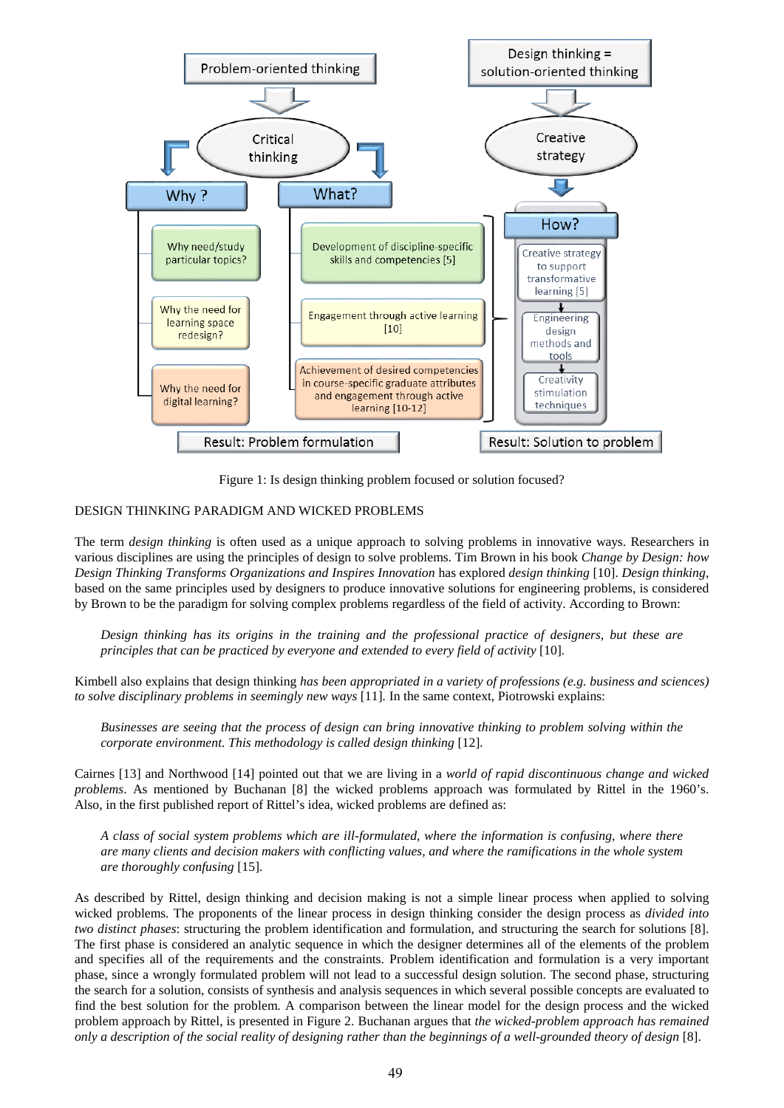

Figure 1: Is design thinking problem focused or solution focused?

## DESIGN THINKING PARADIGM AND WICKED PROBLEMS

The term *design thinking* is often used as a unique approach to solving problems in innovative ways. Researchers in various disciplines are using the principles of design to solve problems. Tim Brown in his book *Change by Design: how Design Thinking Transforms Organizations and Inspires Innovation* has explored *design thinking* [10]. *Design thinking*, based on the same principles used by designers to produce innovative solutions for engineering problems, is considered by Brown to be the paradigm for solving complex problems regardless of the field of activity. According to Brown:

*Design thinking has its origins in the training and the professional practice of designers, but these are principles that can be practiced by everyone and extended to every field of activity* [10]*.*

Kimbell also explains that design thinking *has been appropriated in a variety of professions (e.g. business and sciences) to solve disciplinary problems in seemingly new ways* [11]*.* In the same context, Piotrowski explains:

*Businesses are seeing that the process of design can bring innovative thinking to problem solving within the corporate environment. This methodology is called design thinking* [12]*.* 

Cairnes [13] and Northwood [14] pointed out that we are living in a *world of rapid discontinuous change and wicked problems*. As mentioned by Buchanan [8] the wicked problems approach was formulated by Rittel in the 1960's. Also, in the first published report of Rittel's idea, wicked problems are defined as:

*A class of social system problems which are ill-formulated, where the information is confusing, where there are many clients and decision makers with conflicting values, and where the ramifications in the whole system are thoroughly confusing* [15]*.* 

As described by Rittel, design thinking and decision making is not a simple linear process when applied to solving wicked problems. The proponents of the linear process in design thinking consider the design process as *divided into two distinct phases*: structuring the problem identification and formulation, and structuring the search for solutions [8]. The first phase is considered an analytic sequence in which the designer determines all of the elements of the problem and specifies all of the requirements and the constraints. Problem identification and formulation is a very important phase, since a wrongly formulated problem will not lead to a successful design solution. The second phase, structuring the search for a solution, consists of synthesis and analysis sequences in which several possible concepts are evaluated to find the best solution for the problem. A comparison between the linear model for the design process and the wicked problem approach by Rittel, is presented in Figure 2. Buchanan argues that *the wicked-problem approach has remained only a description of the social reality of designing rather than the beginnings of a well-grounded theory of design* [8].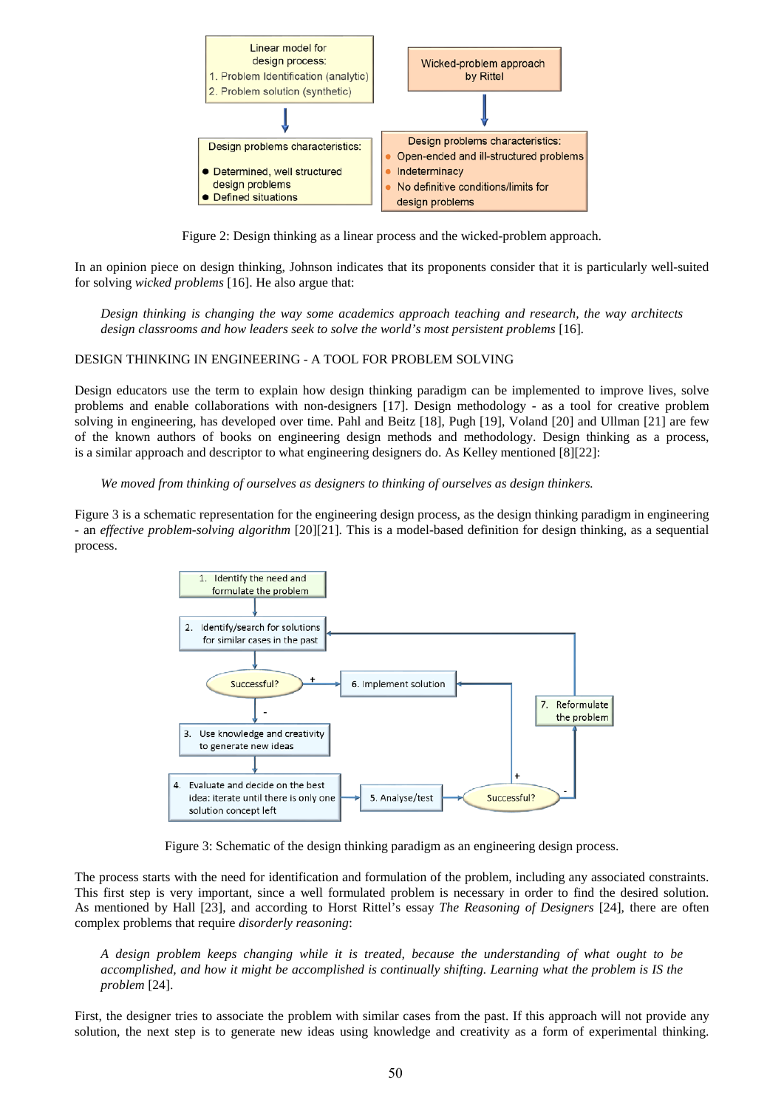

Figure 2: Design thinking as a linear process and the wicked-problem approach.

In an opinion piece on design thinking, Johnson indicates that its proponents consider that it is particularly well-suited for solving *wicked problems* [16]. He also argue that:

*Design thinking is changing the way some academics approach teaching and research, the way architects design classrooms and how leaders seek to solve the world's most persistent problems* [16]*.* 

## DESIGN THINKING IN ENGINEERING - A TOOL FOR PROBLEM SOLVING

Design educators use the term to explain how design thinking paradigm can be implemented to improve lives, solve problems and enable collaborations with non-designers [17]. Design methodology - as a tool for creative problem solving in engineering, has developed over time. Pahl and Beitz [18], Pugh [19], Voland [20] and Ullman [21] are few of the known authors of books on engineering design methods and methodology. Design thinking as a process, is a similar approach and descriptor to what engineering designers do. As Kelley mentioned [8][22]:

*We moved from thinking of ourselves as designers to thinking of ourselves as design thinkers.*

Figure 3 is a schematic representation for the engineering design process, as the design thinking paradigm in engineering - an *effective problem-solving algorithm* [20][21]. This is a model-based definition for design thinking, as a sequential process.



Figure 3: Schematic of the design thinking paradigm as an engineering design process.

The process starts with the need for identification and formulation of the problem, including any associated constraints. This first step is very important, since a well formulated problem is necessary in order to find the desired solution. As mentioned by Hall [23], and according to Horst Rittel's essay *The Reasoning of Designers* [24], there are often complex problems that require *disorderly reasoning*:

*A design problem keeps changing while it is treated, because the understanding of what ought to be accomplished, and how it might be accomplished is continually shifting. Learning what the problem is IS the problem* [24].

First, the designer tries to associate the problem with similar cases from the past. If this approach will not provide any solution, the next step is to generate new ideas using knowledge and creativity as a form of experimental thinking.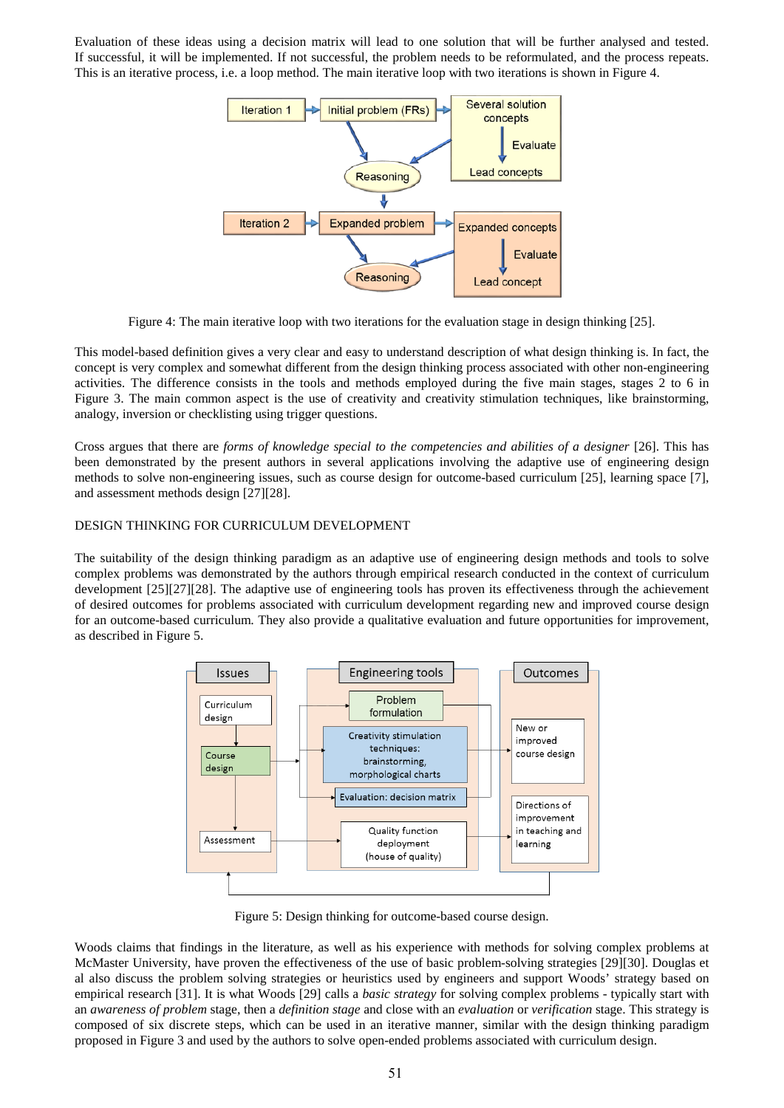Evaluation of these ideas using a decision matrix will lead to one solution that will be further analysed and tested. If successful, it will be implemented. If not successful, the problem needs to be reformulated, and the process repeats. This is an iterative process, i.e. a loop method. The main iterative loop with two iterations is shown in Figure 4.



Figure 4: The main iterative loop with two iterations for the evaluation stage in design thinking [25].

This model-based definition gives a very clear and easy to understand description of what design thinking is. In fact, the concept is very complex and somewhat different from the design thinking process associated with other non-engineering activities. The difference consists in the tools and methods employed during the five main stages, stages 2 to 6 in Figure 3. The main common aspect is the use of creativity and creativity stimulation techniques, like brainstorming, analogy, inversion or checklisting using trigger questions.

Cross argues that there are *forms of knowledge special to the competencies and abilities of a designer* [26]. This has been demonstrated by the present authors in several applications involving the adaptive use of engineering design methods to solve non-engineering issues, such as course design for outcome-based curriculum [25], learning space [7], and assessment methods design [27][28].

# DESIGN THINKING FOR CURRICULUM DEVELOPMENT

The suitability of the design thinking paradigm as an adaptive use of engineering design methods and tools to solve complex problems was demonstrated by the authors through empirical research conducted in the context of curriculum development [25][27][28]. The adaptive use of engineering tools has proven its effectiveness through the achievement of desired outcomes for problems associated with curriculum development regarding new and improved course design for an outcome-based curriculum. They also provide a qualitative evaluation and future opportunities for improvement, as described in Figure 5.



Figure 5: Design thinking for outcome-based course design.

Woods claims that findings in the literature, as well as his experience with methods for solving complex problems at McMaster University, have proven the effectiveness of the use of basic problem-solving strategies [29][30]. Douglas et al also discuss the problem solving strategies or heuristics used by engineers and support Woods' strategy based on empirical research [31]. It is what Woods [29] calls a *basic strategy* for solving complex problems - typically start with an *awareness of problem* stage, then a *definition stage* and close with an *evaluation* or *verification* stage. This strategy is composed of six discrete steps, which can be used in an iterative manner, similar with the design thinking paradigm proposed in Figure 3 and used by the authors to solve open-ended problems associated with curriculum design.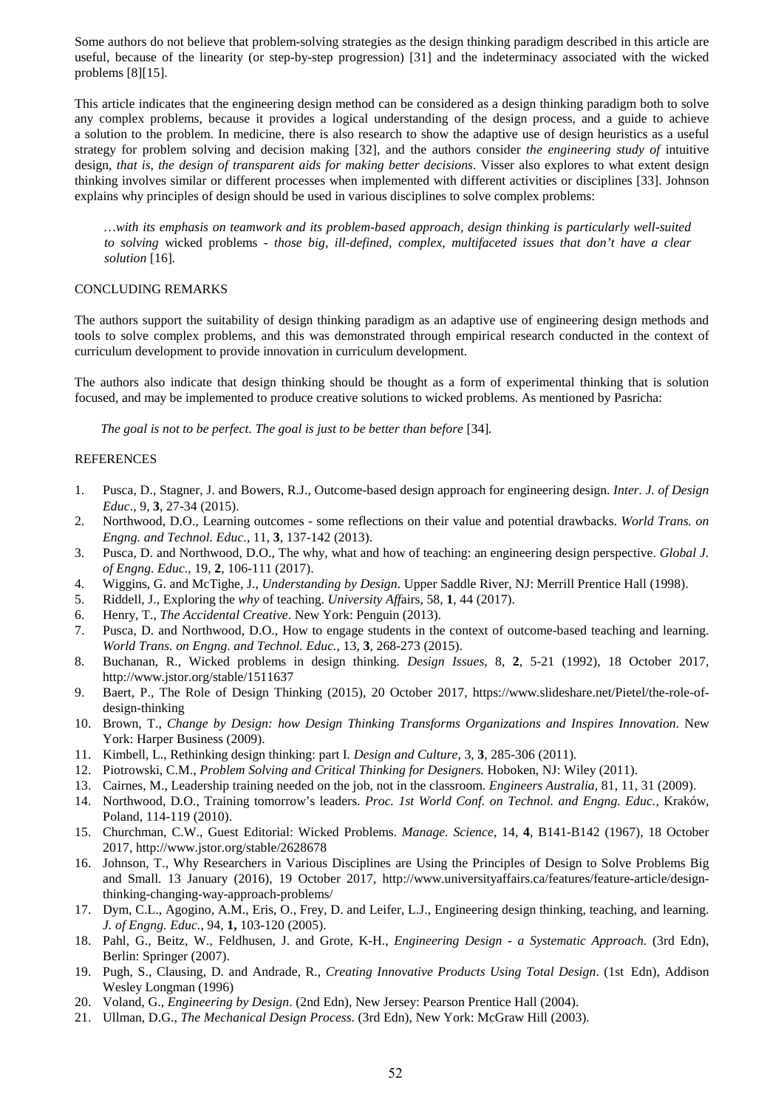Some authors do not believe that problem-solving strategies as the design thinking paradigm described in this article are useful, because of the linearity (or step-by-step progression) [31] and the indeterminacy associated with the wicked problems [8][15].

This article indicates that the engineering design method can be considered as a design thinking paradigm both to solve any complex problems, because it provides a logical understanding of the design process, and a guide to achieve a solution to the problem. In medicine, there is also research to show the adaptive use of design heuristics as a useful strategy for problem solving and decision making [32], and the authors consider *the engineering study of* intuitive design*, that is, the design of transparent aids for making better decisions*. Visser also explores to what extent design thinking involves similar or different processes when implemented with different activities or disciplines [33]. Johnson explains why principles of design should be used in various disciplines to solve complex problems:

*…with its emphasis on teamwork and its problem-based approach, design thinking is particularly well-suited to solving* wicked problems *- those big, ill-defined, complex, multifaceted issues that don't have a clear solution* [16]*.*

#### CONCLUDING REMARKS

The authors support the suitability of design thinking paradigm as an adaptive use of engineering design methods and tools to solve complex problems, and this was demonstrated through empirical research conducted in the context of curriculum development to provide innovation in curriculum development.

The authors also indicate that design thinking should be thought as a form of experimental thinking that is solution focused, and may be implemented to produce creative solutions to wicked problems. As mentioned by Pasricha:

*The goal is not to be perfect. The goal is just to be better than before* [34]*.*

#### **REFERENCES**

- 1. Pusca, D., Stagner, J. and Bowers, R.J., Outcome-based design approach for engineering design. *Inter. J. of Design Educ*., 9, **3**, 27-34 (2015).
- 2. Northwood, D.O., Learning outcomes some reflections on their value and potential drawbacks. *World Trans. on Engng. and Technol. Educ.,* 11, **3**, 137-142 (2013).
- 3. Pusca, D. and Northwood, D.O., The why, what and how of teaching: an engineering design perspective. *Global J. of Engng. Educ.,* 19, **2**, 106-111 (2017).
- 4. Wiggins, G. and McTighe, J., *Understanding by Design*. Upper Saddle River, NJ: Merrill Prentice Hall (1998).
- 5. Riddell, J., Exploring the *why* of teaching. *University Aff*airs, 58, **1**, 44 (2017).
- 6. Henry, T., *The Accidental Creative*. New York: Penguin (2013).
- 7. Pusca, D. and Northwood, D.O., How to engage students in the context of outcome-based teaching and learning. *World Trans. on Engng. and Technol. Educ.,* 13, **3**, 268-273 (2015).
- 8. Buchanan, R., Wicked problems in design thinking. *Design Issues,* 8, **2**, 5-21 (1992), 18 October 2017, http://www.jstor.org/stable/1511637
- 9. Baert, P., The Role of Design Thinking (2015), 20 October 2017, https://www.slideshare.net/Pietel/the-role-ofdesign-thinking
- 10. Brown, T., *Change by Design: how Design Thinking Transforms Organizations and Inspires Innovation*. New York: Harper Business (2009).
- 11. Kimbell, L., Rethinking design thinking: part I*. Design and Culture,* 3, **3**, 285-306 (2011)*.*
- 12. Piotrowski, C.M., *Problem Solving and Critical Thinking for Designers.* Hoboken, NJ: Wiley (2011).
- 13. Cairnes, M., Leadership training needed on the job, not in the classroom. *Engineers Australia*, 81, 11, 31 (2009).
- 14. Northwood, D.O., Training tomorrow's leaders. *Proc. 1st World Conf. on Technol. and Engng. Educ.,* Kraków, Poland, 114-119 (2010).
- 15. Churchman, C.W., Guest Editorial: Wicked Problems. *Manage. Science,* 14, **4**, B141-B142 (1967), 18 October 2017, http://www.jstor.org/stable/2628678
- 16. Johnson, T., Why Researchers in Various Disciplines are Using the Principles of Design to Solve Problems Big and Small. 13 January (2016), 19 October 2017, http://www.universityaffairs.ca/features/feature-article/designthinking-changing-way-approach-problems/
- 17. Dym, C.L., Agogino, A.M., Eris, O., Frey, D. and Leifer, L.J., Engineering design thinking, teaching, and learning. *J. of Engng. Educ.*, 94, **1,** 103-120 (2005).
- 18. Pahl, G., Beitz, W., Feldhusen, J. and Grote, K-H., *Engineering Design a Systematic Approach.* (3rd Edn), Berlin: Springer (2007).
- 19. Pugh, S., Clausing, D. and Andrade, R., *Creating Innovative Products Using Total Design*. (1st Edn), Addison Wesley Longman (1996)
- 20. Voland, G., *Engineering by Design*. (2nd Edn), New Jersey: Pearson Prentice Hall (2004).
- 21. Ullman, D.G., *The Mechanical Design Process*. (3rd Edn), New York: McGraw Hill (2003).